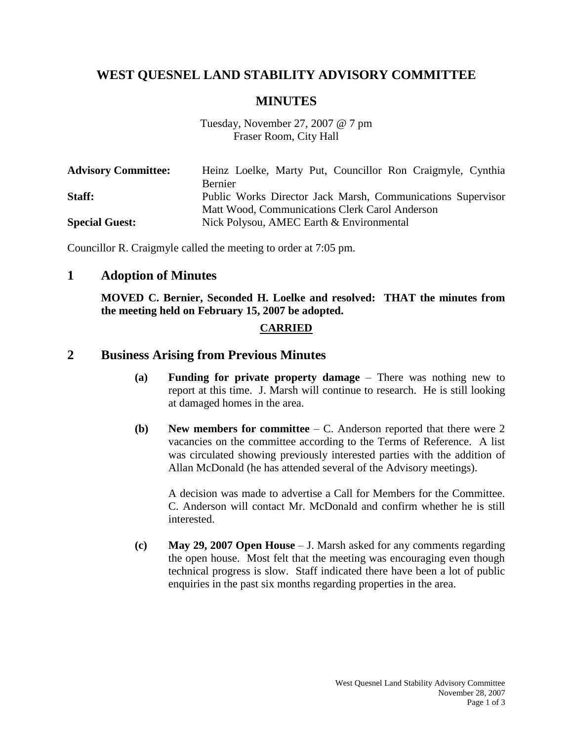# **WEST QUESNEL LAND STABILITY ADVISORY COMMITTEE**

## **MINUTES**

Tuesday, November 27, 2007 @ 7 pm Fraser Room, City Hall

| <b>Advisory Committee:</b> | Heinz Loelke, Marty Put, Councillor Ron Craigmyle, Cynthia  |
|----------------------------|-------------------------------------------------------------|
|                            | Bernier                                                     |
| Staff:                     | Public Works Director Jack Marsh, Communications Supervisor |
|                            | Matt Wood, Communications Clerk Carol Anderson              |
| <b>Special Guest:</b>      | Nick Polysou, AMEC Earth & Environmental                    |

Councillor R. Craigmyle called the meeting to order at 7:05 pm.

#### **1 Adoption of Minutes**

**MOVED C. Bernier, Seconded H. Loelke and resolved: THAT the minutes from the meeting held on February 15, 2007 be adopted.**

#### **CARRIED**

#### **2 Business Arising from Previous Minutes**

- **(a) Funding for private property damage** There was nothing new to report at this time. J. Marsh will continue to research. He is still looking at damaged homes in the area.
- **(b) New members for committee** C. Anderson reported that there were 2 vacancies on the committee according to the Terms of Reference. A list was circulated showing previously interested parties with the addition of Allan McDonald (he has attended several of the Advisory meetings).

A decision was made to advertise a Call for Members for the Committee. C. Anderson will contact Mr. McDonald and confirm whether he is still interested.

**(c) May 29, 2007 Open House** – J. Marsh asked for any comments regarding the open house. Most felt that the meeting was encouraging even though technical progress is slow. Staff indicated there have been a lot of public enquiries in the past six months regarding properties in the area.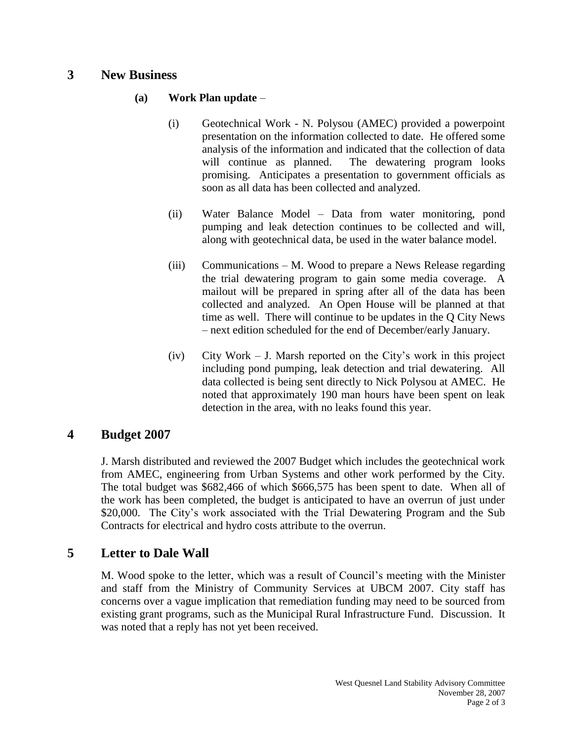## **3 New Business**

### **(a) Work Plan update** –

- (i) Geotechnical Work N. Polysou (AMEC) provided a powerpoint presentation on the information collected to date. He offered some analysis of the information and indicated that the collection of data will continue as planned. The dewatering program looks promising. Anticipates a presentation to government officials as soon as all data has been collected and analyzed.
- (ii) Water Balance Model Data from water monitoring, pond pumping and leak detection continues to be collected and will, along with geotechnical data, be used in the water balance model.
- (iii) Communications M. Wood to prepare a News Release regarding the trial dewatering program to gain some media coverage. A mailout will be prepared in spring after all of the data has been collected and analyzed. An Open House will be planned at that time as well. There will continue to be updates in the Q City News – next edition scheduled for the end of December/early January.
- (iv) City Work J. Marsh reported on the City's work in this project including pond pumping, leak detection and trial dewatering. All data collected is being sent directly to Nick Polysou at AMEC. He noted that approximately 190 man hours have been spent on leak detection in the area, with no leaks found this year.

## **4 Budget 2007**

J. Marsh distributed and reviewed the 2007 Budget which includes the geotechnical work from AMEC, engineering from Urban Systems and other work performed by the City. The total budget was \$682,466 of which \$666,575 has been spent to date. When all of the work has been completed, the budget is anticipated to have an overrun of just under \$20,000. The City's work associated with the Trial Dewatering Program and the Sub Contracts for electrical and hydro costs attribute to the overrun.

## **5 Letter to Dale Wall**

M. Wood spoke to the letter, which was a result of Council's meeting with the Minister and staff from the Ministry of Community Services at UBCM 2007. City staff has concerns over a vague implication that remediation funding may need to be sourced from existing grant programs, such as the Municipal Rural Infrastructure Fund. Discussion. It was noted that a reply has not yet been received.